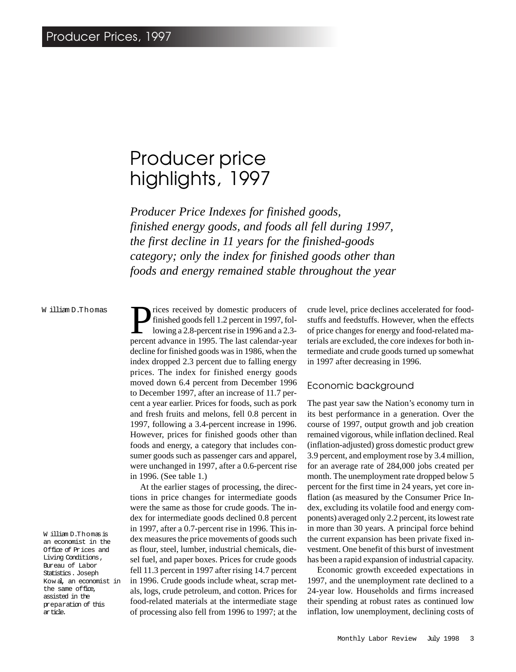# Producer price highlights, 1997

*Producer Price Indexes for finished goods, finished energy goods, and foods all fell during 1997, the first decline in 11 years for the finished-goods category; only the index for finished goods other than foods and energy remained stable throughout the year*

#### W illiam D.Thomas

W illiam D.Thomas is an economist in the Office of Prices and Living Conditions, Bureau of Labor Statistics. Joseph Kow al, an economist in the same office, assisted in the preparation of this article.

rices received by domestic producers of finished goods fell 1.2 percent in 1997, following a 2.8-percent rise in 1996 and a 2.3 percent advance in 1995. The last calendar-year decline for finished goods was in 1986, when the index dropped 2.3 percent due to falling energy prices. The index for finished energy goods moved down 6.4 percent from December 1996 to December 1997, after an increase of 11.7 percent a year earlier. Prices for foods, such as pork and fresh fruits and melons, fell 0.8 percent in 1997, following a 3.4-percent increase in 1996. However, prices for finished goods other than foods and energy, a category that includes consumer goods such as passenger cars and apparel, were unchanged in 1997, after a 0.6-percent rise in 1996. (See table 1.)

At the earlier stages of processing, the directions in price changes for intermediate goods were the same as those for crude goods. The index for intermediate goods declined 0.8 percent in 1997, after a 0.7-percent rise in 1996. This index measures the price movements of goods such as flour, steel, lumber, industrial chemicals, diesel fuel, and paper boxes. Prices for crude goods fell 11.3 percent in 1997 after rising 14.7 percent in 1996. Crude goods include wheat, scrap metals, logs, crude petroleum, and cotton. Prices for food-related materials at the intermediate stage of processing also fell from 1996 to 1997; at the

crude level, price declines accelerated for foodstuffs and feedstuffs. However, when the effects of price changes for energy and food-related materials are excluded, the core indexes for both intermediate and crude goods turned up somewhat in 1997 after decreasing in 1996.

## Economic background

The past year saw the Nation's economy turn in its best performance in a generation. Over the course of 1997, output growth and job creation remained vigorous, while inflation declined. Real (inflation-adjusted) gross domestic product grew 3.9 percent, and employment rose by 3.4 million, for an average rate of 284,000 jobs created per month. The unemployment rate dropped below 5 percent for the first time in 24 years, yet core inflation (as measured by the Consumer Price Index, excluding its volatile food and energy components) averaged only 2.2 percent, its lowest rate in more than 30 years. A principal force behind the current expansion has been private fixed investment. One benefit of this burst of investment has been a rapid expansion of industrial capacity.

Economic growth exceeded expectations in 1997, and the unemployment rate declined to a 24-year low. Households and firms increased their spending at robust rates as continued low inflation, low unemployment, declining costs of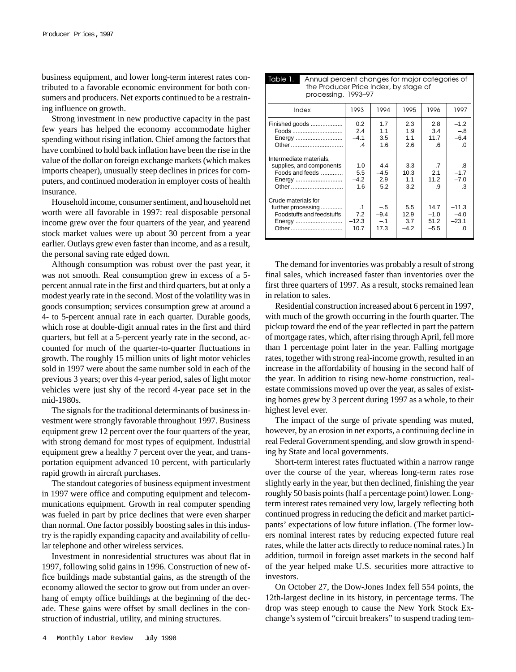business equipment, and lower long-term interest rates contributed to a favorable economic environment for both consumers and producers. Net exports continued to be a restraining influence on growth.

Strong investment in new productive capacity in the past few years has helped the economy accommodate higher spending without rising inflation. Chief among the factors that have combined to hold back inflation have been the rise in the value of the dollar on foreign exchange markets (which makes imports cheaper), unusually steep declines in prices for computers, and continued moderation in employer costs of health insurance.

Household income, consumer sentiment, and household net worth were all favorable in 1997: real disposable personal income grew over the four quarters of the year, and yearend stock market values were up about 30 percent from a year earlier. Outlays grew even faster than income, and as a result, the personal saving rate edged down.

Although consumption was robust over the past year, it was not smooth. Real consumption grew in excess of a 5 percent annual rate in the first and third quarters, but at only a modest yearly rate in the second. Most of the volatility was in goods consumption; services consumption grew at around a 4- to 5-percent annual rate in each quarter. Durable goods, which rose at double-digit annual rates in the first and third quarters, but fell at a 5-percent yearly rate in the second, accounted for much of the quarter-to-quarter fluctuations in growth. The roughly 15 million units of light motor vehicles sold in 1997 were about the same number sold in each of the previous 3 years; over this 4-year period, sales of light motor vehicles were just shy of the record 4-year pace set in the mid-1980s.

The signals for the traditional determinants of business investment were strongly favorable throughout 1997. Business equipment grew 12 percent over the four quarters of the year, with strong demand for most types of equipment. Industrial equipment grew a healthy 7 percent over the year, and transportation equipment advanced 10 percent, with particularly rapid growth in aircraft purchases.

The standout categories of business equipment investment in 1997 were office and computing equipment and telecommunications equipment. Growth in real computer spending was fueled in part by price declines that were even sharper than normal. One factor possibly boosting sales in this industry is the rapidly expanding capacity and availability of cellular telephone and other wireless services.

Investment in nonresidential structures was about flat in 1997, following solid gains in 1996. Construction of new office buildings made substantial gains, as the strength of the economy allowed the sector to grow out from under an overhang of empty office buildings at the beginning of the decade. These gains were offset by small declines in the construction of industrial, utility, and mining structures.

| Table 1.<br>Annual percent changes for major categories of<br>the Producer Price Index, by stage of<br>processing, 1993-97 |                                                 |                                  |                              |                                  |                                       |  |
|----------------------------------------------------------------------------------------------------------------------------|-------------------------------------------------|----------------------------------|------------------------------|----------------------------------|---------------------------------------|--|
| Index                                                                                                                      | 1993                                            | 1994                             | 1995                         | 1996                             | 1997                                  |  |
| Finished goods<br>Foods<br>Energy<br>Other                                                                                 | $0.2^{\circ}$<br>2.4<br>$-4.1$<br>$\mathcal{A}$ | 1.7<br>1.1<br>3.5<br>1.6         | 2.3<br>1.9<br>1.1<br>2.6     | 2.8<br>3.4<br>11.7<br>$6 \cdot$  | $-1.2$<br>$-.8$<br>$-6.4$<br>$\Omega$ |  |
| Intermediate materials,<br>supplies, and components<br>Foods and feeds<br>Energy<br>Other                                  | 1.0<br>5.5<br>$-4.2$<br>1.6                     | 4.4<br>$-4.5$<br>2.9<br>5.2      | 3.3<br>10.3<br>1.1<br>3.2    | .7<br>2.1<br>11.2<br>-.9         | $-.8$<br>$-1.7$<br>$-7.0$<br>.3       |  |
| Crude materials for<br>further processing<br>Foodstuffs and feedstuffs<br>Energy<br>Other                                  | $\cdot$ 1<br>7.2<br>$-12.3$<br>10.7             | $-.5$<br>$-9.4$<br>$-.1$<br>17.3 | 5.5<br>12.9<br>3.7<br>$-4.2$ | 14.7<br>$-1.0$<br>51.2<br>$-5.5$ | $-11.3$<br>$-4.0$<br>$-23.1$<br>.0    |  |

The demand for inventories was probably a result of strong final sales, which increased faster than inventories over the first three quarters of 1997. As a result, stocks remained lean in relation to sales.

Residential construction increased about 6 percent in 1997, with much of the growth occurring in the fourth quarter. The pickup toward the end of the year reflected in part the pattern of mortgage rates, which, after rising through April, fell more than 1 percentage point later in the year. Falling mortgage rates, together with strong real-income growth, resulted in an increase in the affordability of housing in the second half of the year. In addition to rising new-home construction, realestate commissions moved up over the year, as sales of existing homes grew by 3 percent during 1997 as a whole, to their highest level ever.

The impact of the surge of private spending was muted, however, by an erosion in net exports, a continuing decline in real Federal Government spending, and slow growth in spending by State and local governments.

Short-term interest rates fluctuated within a narrow range over the course of the year, whereas long-term rates rose slightly early in the year, but then declined, finishing the year roughly 50 basis points (half a percentage point) lower. Longterm interest rates remained very low, largely reflecting both continued progress in reducing the deficit and market participants' expectations of low future inflation. (The former lowers nominal interest rates by reducing expected future real rates, while the latter acts directly to reduce nominal rates.) In addition, turmoil in foreign asset markets in the second half of the year helped make U.S. securities more attractive to investors.

On October 27, the Dow-Jones Index fell 554 points, the 12th-largest decline in its history, in percentage terms. The drop was steep enough to cause the New York Stock Exchange's system of "circuit breakers" to suspend trading tem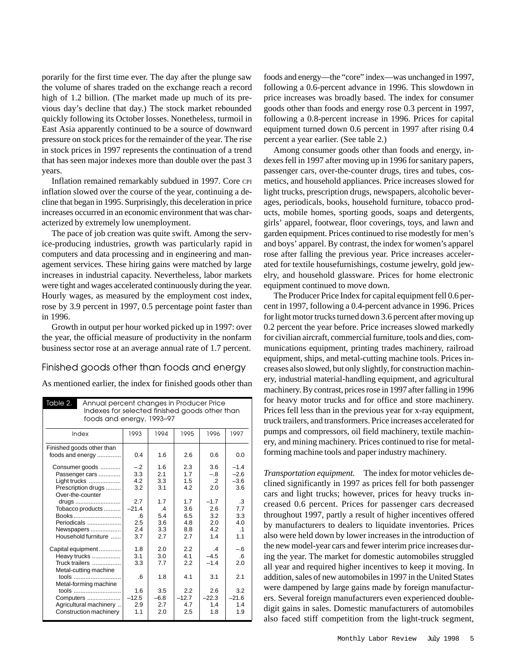porarily for the first time ever. The day after the plunge saw the volume of shares traded on the exchange reach a record high of 1.2 billion. (The market made up much of its previous day's decline that day.) The stock market rebounded quickly following its October losses. Nonetheless, turmoil in East Asia apparently continued to be a source of downward pressure on stock prices for the remainder of the year. The rise in stock prices in 1997 represents the continuation of a trend that has seen major indexes more than double over the past 3 years.

Inflation remained remarkably subdued in 1997. Core CPI inflation slowed over the course of the year, continuing a decline that began in 1995. Surprisingly, this deceleration in price increases occurred in an economic environment that was characterized by extremely low unemployment.

The pace of job creation was quite swift. Among the service-producing industries, growth was particularly rapid in computers and data processing and in engineering and management services. These hiring gains were matched by large increases in industrial capacity. Nevertheless, labor markets were tight and wages accelerated continuously during the year. Hourly wages, as measured by the employment cost index, rose by 3.9 percent in 1997, 0.5 percentage point faster than in 1996.

Growth in output per hour worked picked up in 1997: over the year, the official measure of productivity in the nonfarm business sector rose at an average annual rate of 1.7 percent.

## Finished goods other than foods and energy

As mentioned earlier, the index for finished goods other than

| Table 2.<br>Annual percent changes in Producer Price<br>Indexes for selected finished goods other than<br>foods and energy, 1993-97 |                                               |         |               |         |               |           |
|-------------------------------------------------------------------------------------------------------------------------------------|-----------------------------------------------|---------|---------------|---------|---------------|-----------|
|                                                                                                                                     | Index                                         | 1993    | 1994          | 1995    | 1996          | 1997      |
|                                                                                                                                     | Finished goods other than<br>foods and energy | 0.4     | 1.6           | 2.6     | 0.6           | 0.0       |
|                                                                                                                                     | Consumer goods                                | $-.2$   | 1.6           | 2.3     | 3.6           | $-1.4$    |
|                                                                                                                                     | Passenger cars                                | 3.3     | 2.1           | 1.7     | $-.8$         | $-2.6$    |
|                                                                                                                                     | Light trucks                                  | 4.2     | 3.3           | 1.5     | $\cdot$ 2     | $-3.6$    |
|                                                                                                                                     | Prescription drugs                            | 3.2     | 3.1           | 4.2     | 2.0           | 3.6       |
|                                                                                                                                     | Over-the-counter                              |         |               |         |               |           |
|                                                                                                                                     | drugs                                         | 2.7     | 17            | 1.7     | $-1.7$        | .3        |
|                                                                                                                                     | Tobacco products                              | $-21.4$ | $\mathcal{A}$ | 3.6     | 2.6           | 7.7       |
|                                                                                                                                     | Books                                         | .6      | 5.4           | 6.5     | 3.2           | 3.3       |
|                                                                                                                                     | Periodicals                                   | 2.5     | 3.6           | 4.8     | 2.0           | 4.0       |
|                                                                                                                                     | Newspapers                                    | 2.4     | 3.3           | 8.8     | 42            | $\cdot$ 1 |
|                                                                                                                                     | Household furniture                           | 3.7     | 2.7           | 2.7     | 14            | 1.1       |
|                                                                                                                                     | Capital equipment                             | 1.8     | 2.0           | 2.2     | $\mathcal{A}$ | $-.6$     |
|                                                                                                                                     | Heavy trucks                                  | 3.1     | 3.0           | 4.1     | $-4.5$        | .6        |
|                                                                                                                                     | Truck trailers                                | 3.3     | 7.7           | 2.2     | $-1.4$        | 2.0       |
|                                                                                                                                     | Metal-cutting machine                         |         |               |         |               |           |
|                                                                                                                                     | tools                                         | 6       | 1.8           | 4.1     | 3.1           | 2.1       |
|                                                                                                                                     | Metal-forming machine                         |         |               |         |               |           |
|                                                                                                                                     | tools                                         | 1.6     | 3.5           | 2.2     | 2.6           | 3.2       |
|                                                                                                                                     | Computers                                     | $-12.5$ | $-6.8$        | $-12.7$ | $-22.3$       | $-21.6$   |
|                                                                                                                                     | Agricultural machinery                        | 2.9     | 2.7           | 4.7     | 1.4           | 1.4       |
|                                                                                                                                     | Construction machinery                        | 1.1     | 2.0           | 2.5     | 1.8           | 1.9       |
|                                                                                                                                     |                                               |         |               |         |               |           |

foods and energy—the "core" index—was unchanged in 1997, following a 0.6-percent advance in 1996. This slowdown in price increases was broadly based. The index for consumer goods other than foods and energy rose 0.3 percent in 1997, following a 0.8-percent increase in 1996. Prices for capital equipment turned down 0.6 percent in 1997 after rising 0.4 percent a year earlier. (See table 2.)

Among consumer goods other than foods and energy, indexes fell in 1997 after moving up in 1996 for sanitary papers, passenger cars, over-the-counter drugs, tires and tubes, cosmetics, and household appliances. Price increases slowed for light trucks, prescription drugs, newspapers, alcoholic beverages, periodicals, books, household furniture, tobacco products, mobile homes, sporting goods, soaps and detergents, girls' apparel, footwear, floor coverings, toys, and lawn and garden equipment. Prices continued to rise modestly for men's and boys' apparel. By contrast, the index for women's apparel rose after falling the previous year. Price increases accelerated for textile housefurnishings, costume jewelry, gold jewelry, and household glassware. Prices for home electronic equipment continued to move down.

The Producer Price Index for capital equipment fell 0.6 percent in 1997, following a 0.4-percent advance in 1996. Prices for light motor trucks turned down 3.6 percent after moving up 0.2 percent the year before. Price increases slowed markedly for civilian aircraft, commercial furniture, tools and dies, communications equipment, printing trades machinery, railroad equipment, ships, and metal-cutting machine tools. Prices increases also slowed, but only slightly, for construction machinery, industrial material-handling equipment, and agricultural machinery. By contrast, prices rose in 1997 after falling in 1996 for heavy motor trucks and for office and store machinery. Prices fell less than in the previous year for x-ray equipment, truck trailers, and transformers. Price increases accelerated for pumps and compressors, oil field machinery, textile machinery, and mining machinery. Prices continued to rise for metalforming machine tools and paper industry machinery.

*Transportation equipment.* The index for motor vehicles declined significantly in 1997 as prices fell for both passenger cars and light trucks; however, prices for heavy trucks increased 0.6 percent. Prices for passenger cars decreased throughout 1997, partly a result of higher incentives offered by manufacturers to dealers to liquidate inventories. Prices also were held down by lower increases in the introduction of the new model-year cars and fewer interim price increases during the year. The market for domestic automobiles struggled all year and required higher incentives to keep it moving. In addition, sales of new automobiles in 1997 in the United States were dampened by large gains made by foreign manufacturers. Several foreign manufacturers even experienced doubledigit gains in sales. Domestic manufacturers of automobiles also faced stiff competition from the light-truck segment,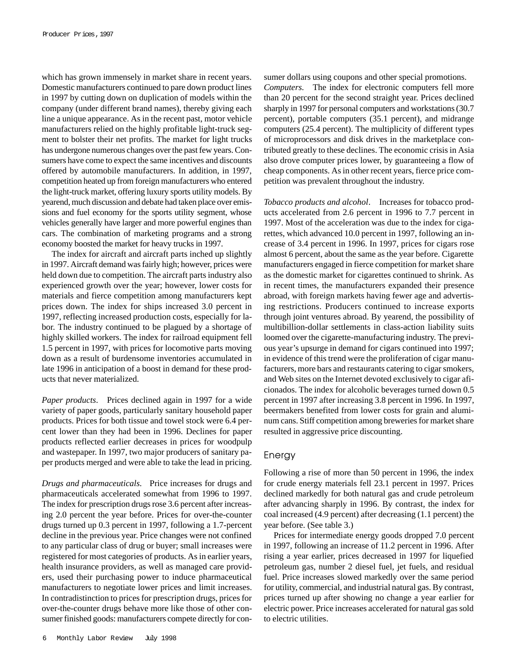which has grown immensely in market share in recent years. Domestic manufacturers continued to pare down product lines in 1997 by cutting down on duplication of models within the company (under different brand names), thereby giving each line a unique appearance. As in the recent past, motor vehicle manufacturers relied on the highly profitable light-truck segment to bolster their net profits. The market for light trucks has undergone numerous changes over the past few years. Consumers have come to expect the same incentives and discounts offered by automobile manufacturers. In addition, in 1997, competition heated up from foreign manufacturers who entered the light-truck market, offering luxury sports utility models. By yearend, much discussion and debate had taken place over emissions and fuel economy for the sports utility segment, whose vehicles generally have larger and more powerful engines than cars. The combination of marketing programs and a strong economy boosted the market for heavy trucks in 1997.

The index for aircraft and aircraft parts inched up slightly in 1997. Aircraft demand was fairly high; however, prices were held down due to competition. The aircraft parts industry also experienced growth over the year; however, lower costs for materials and fierce competition among manufacturers kept prices down. The index for ships increased 3.0 percent in 1997, reflecting increased production costs, especially for labor. The industry continued to be plagued by a shortage of highly skilled workers. The index for railroad equipment fell 1.5 percent in 1997, with prices for locomotive parts moving down as a result of burdensome inventories accumulated in late 1996 in anticipation of a boost in demand for these products that never materialized.

*Paper products*. Prices declined again in 1997 for a wide variety of paper goods, particularly sanitary household paper products. Prices for both tissue and towel stock were 6.4 percent lower than they had been in 1996. Declines for paper products reflected earlier decreases in prices for woodpulp and wastepaper. In 1997, two major producers of sanitary paper products merged and were able to take the lead in pricing.

*Drugs and pharmaceuticals*. Price increases for drugs and pharmaceuticals accelerated somewhat from 1996 to 1997. The index for prescription drugs rose 3.6 percent after increasing 2.0 percent the year before. Prices for over-the-counter drugs turned up 0.3 percent in 1997, following a 1.7-percent decline in the previous year. Price changes were not confined to any particular class of drug or buyer; small increases were registered for most categories of products. As in earlier years, health insurance providers, as well as managed care providers, used their purchasing power to induce pharmaceutical manufacturers to negotiate lower prices and limit increases. In contradistinction to prices for prescription drugs, prices for over-the-counter drugs behave more like those of other consumer finished goods: manufacturers compete directly for con-

6 Monthly Labor Review July 1998

sumer dollars using coupons and other special promotions. *Computers*. The index for electronic computers fell more than 20 percent for the second straight year. Prices declined sharply in 1997 for personal computers and workstations (30.7 percent), portable computers (35.1 percent), and midrange computers (25.4 percent). The multiplicity of different types of microprocessors and disk drives in the marketplace contributed greatly to these declines. The economic crisis in Asia also drove computer prices lower, by guaranteeing a flow of cheap components. As in other recent years, fierce price competition was prevalent throughout the industry.

*Tobacco products and alcohol*. Increases for tobacco products accelerated from 2.6 percent in 1996 to 7.7 percent in 1997. Most of the acceleration was due to the index for cigarettes, which advanced 10.0 percent in 1997, following an increase of 3.4 percent in 1996. In 1997, prices for cigars rose almost 6 percent, about the same as the year before. Cigarette manufacturers engaged in fierce competition for market share as the domestic market for cigarettes continued to shrink. As in recent times, the manufacturers expanded their presence abroad, with foreign markets having fewer age and advertising restrictions. Producers continued to increase exports through joint ventures abroad. By yearend, the possibility of multibillion-dollar settlements in class-action liability suits loomed over the cigarette-manufacturing industry. The previous year's upsurge in demand for cigars continued into 1997; in evidence of this trend were the proliferation of cigar manufacturers, more bars and restaurants catering to cigar smokers, and Web sites on the Internet devoted exclusively to cigar aficionados. The index for alcoholic beverages turned down 0.5 percent in 1997 after increasing 3.8 percent in 1996. In 1997, beermakers benefited from lower costs for grain and aluminum cans. Stiff competition among breweries for market share resulted in aggressive price discounting.

#### Energy

Following a rise of more than 50 percent in 1996, the index for crude energy materials fell 23.1 percent in 1997. Prices declined markedly for both natural gas and crude petroleum after advancing sharply in 1996. By contrast, the index for coal increased (4.9 percent) after decreasing (1.1 percent) the year before. (See table 3.)

Prices for intermediate energy goods dropped 7.0 percent in 1997, following an increase of 11.2 percent in 1996. After rising a year earlier, prices decreased in 1997 for liquefied petroleum gas, number 2 diesel fuel, jet fuels, and residual fuel. Price increases slowed markedly over the same period for utility, commercial, and industrial natural gas. By contrast, prices turned up after showing no change a year earlier for electric power. Price increases accelerated for natural gas sold to electric utilities.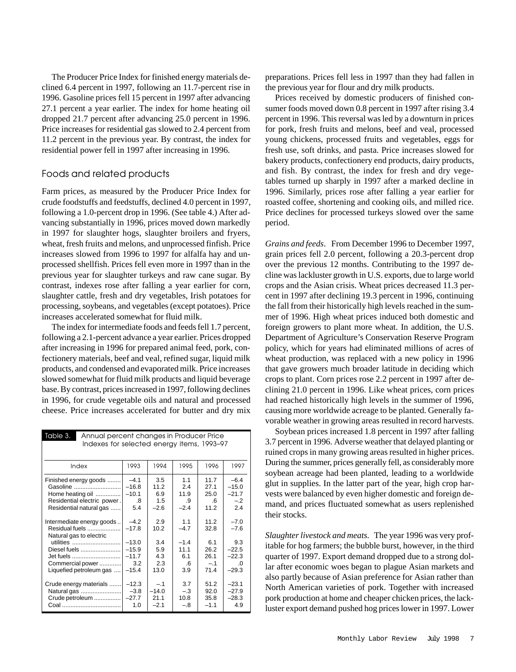The Producer Price Index for finished energy materials declined 6.4 percent in 1997, following an 11.7-percent rise in 1996. Gasoline prices fell 15 percent in 1997 after advancing 27.1 percent a year earlier. The index for home heating oil dropped 21.7 percent after advancing 25.0 percent in 1996. Price increases for residential gas slowed to 2.4 percent from 11.2 percent in the previous year. By contrast, the index for residential power fell in 1997 after increasing in 1996.

## Foods and related products

Farm prices, as measured by the Producer Price Index for crude foodstuffs and feedstuffs, declined 4.0 percent in 1997, following a 1.0-percent drop in 1996. (See table 4.) After advancing substantially in 1996, prices moved down markedly in 1997 for slaughter hogs, slaughter broilers and fryers, wheat, fresh fruits and melons, and unprocessed finfish. Price increases slowed from 1996 to 1997 for alfalfa hay and unprocessed shellfish. Prices fell even more in 1997 than in the previous year for slaughter turkeys and raw cane sugar. By contrast, indexes rose after falling a year earlier for corn, slaughter cattle, fresh and dry vegetables, Irish potatoes for processing, soybeans, and vegetables (except potatoes). Price increases accelerated somewhat for fluid milk.

The index for intermediate foods and feeds fell 1.7 percent, following a 2.1-percent advance a year earlier. Prices dropped after increasing in 1996 for prepared animal feed, pork, confectionery materials, beef and veal, refined sugar, liquid milk products, and condensed and evaporated milk. Price increases slowed somewhat for fluid milk products and liquid beverage base. By contrast, prices increased in 1997, following declines in 1996, for crude vegetable oils and natural and processed cheese. Price increases accelerated for butter and dry mix

| Table 3.<br>Annual percent changes in Producer Price<br>Indexes for selected energy items, 1993–97                                    |                                                |                                                 |                                                     |                                                      |                                                                      |  |
|---------------------------------------------------------------------------------------------------------------------------------------|------------------------------------------------|-------------------------------------------------|-----------------------------------------------------|------------------------------------------------------|----------------------------------------------------------------------|--|
| Index                                                                                                                                 | 1993                                           | 1994                                            | 1995                                                | 1996                                                 | 1997                                                                 |  |
| Finished energy goods<br>Gasoline<br>Home heating oil<br>Residential electric power.<br>Residential natural gas                       | $-4.1$<br>$-16.8$<br>$-10.1$<br>.8<br>5.4      | 3.5<br>11.2<br>6.9<br>1.5<br>$-2.6$             | 1.1<br>2.4<br>11.9<br>.9<br>$-2.4$                  | 11.7<br>27.1<br>25.0<br>$6 \cdot$<br>11.2            | $-6.4$<br>$-15.0$<br>$-21.7$<br>$-.2$<br>2.4                         |  |
| Intermediate energy goods<br>Residual fuels<br>Natural gas to electric<br>Diesel fuels<br>Commercial power<br>Liquefied petroleum gas | $-4.2$<br>$-17.8$<br>$-15.9$<br>3.2<br>$-15.4$ | 2.9<br>10.2<br>3.4<br>5.9<br>4.3<br>2.3<br>13.0 | 1.1<br>$-4.7$<br>$-1.4$<br>1111<br>6.1<br>.6<br>3.9 | 11.2<br>32.8<br>6.1<br>26.2<br>26.1<br>$-.1$<br>71.4 | $-7.0$<br>$-7.6$<br>9.3<br>$-22.5$<br>$-22.3$<br>$\Omega$<br>$-29.3$ |  |
| Crude energy materials<br>Natural gas<br>Crude petroleum                                                                              | $-12.3$<br>$-3.8$<br>$-27.7$<br>1.0            | $-.1$<br>$-14.0$<br>21.1<br>$-2.1$              | 3.7<br>$-.3$<br>10.8<br>$-.8$                       | 51.2<br>92.0<br>35.8<br>$-1.1$                       | $-23.1$<br>$-27.9$<br>$-28.3$<br>4.9                                 |  |

preparations. Prices fell less in 1997 than they had fallen in the previous year for flour and dry milk products.

Prices received by domestic producers of finished consumer foods moved down 0.8 percent in 1997 after rising 3.4 percent in 1996. This reversal was led by a downturn in prices for pork, fresh fruits and melons, beef and veal, processed young chickens, processed fruits and vegetables, eggs for fresh use, soft drinks, and pasta. Price increases slowed for bakery products, confectionery end products, dairy products, and fish. By contrast, the index for fresh and dry vegetables turned up sharply in 1997 after a marked decline in 1996. Similarly, prices rose after falling a year earlier for roasted coffee, shortening and cooking oils, and milled rice. Price declines for processed turkeys slowed over the same period.

*Grains and feeds*. From December 1996 to December 1997, grain prices fell 2.0 percent, following a 20.3-percent drop over the previous 12 months. Contributing to the 1997 decline was lackluster growth in U.S. exports, due to large world crops and the Asian crisis. Wheat prices decreased 11.3 percent in 1997 after declining 19.3 percent in 1996, continuing the fall from their historically high levels reached in the summer of 1996. High wheat prices induced both domestic and foreign growers to plant more wheat. In addition, the U.S. Department of Agriculture's Conservation Reserve Program policy, which for years had eliminated millions of acres of wheat production, was replaced with a new policy in 1996 that gave growers much broader latitude in deciding which crops to plant. Corn prices rose 2.2 percent in 1997 after declining 21.0 percent in 1996. Like wheat prices, corn prices had reached historically high levels in the summer of 1996, causing more worldwide acreage to be planted. Generally favorable weather in growing areas resulted in record harvests.

Soybean prices increased 1.8 percent in 1997 after falling 3.7 percent in 1996. Adverse weather that delayed planting or ruined crops in many growing areas resulted in higher prices. During the summer, prices generally fell, as considerably more soybean acreage had been planted, leading to a worldwide glut in supplies. In the latter part of the year, high crop harvests were balanced by even higher domestic and foreign demand, and prices fluctuated somewhat as users replenished their stocks.

*Slaughter livestock and meats*. The year 1996 was very profitable for hog farmers; the bubble burst, however, in the third quarter of 1997. Export demand dropped due to a strong dollar after economic woes began to plague Asian markets and also partly because of Asian preference for Asian rather than North American varieties of pork. Together with increased pork production at home and cheaper chicken prices, the lackluster export demand pushed hog prices lower in 1997. Lower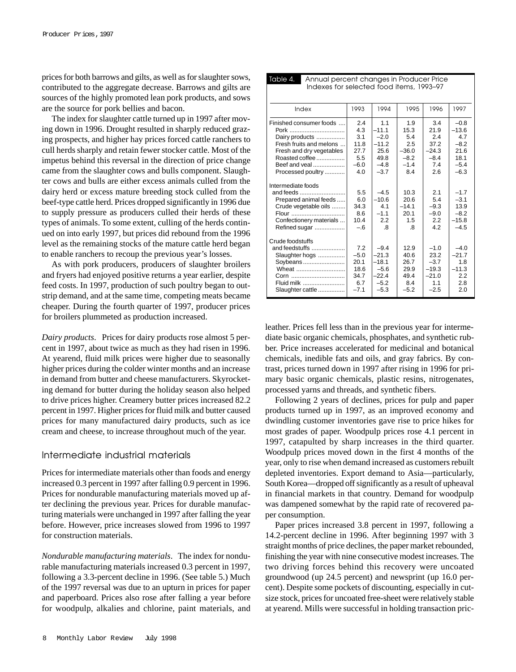prices for both barrows and gilts, as well as for slaughter sows, contributed to the aggregate decrease. Barrows and gilts are sources of the highly promoted lean pork products, and sows are the source for pork bellies and bacon.

The index for slaughter cattle turned up in 1997 after moving down in 1996. Drought resulted in sharply reduced grazing prospects, and higher hay prices forced cattle ranchers to cull herds sharply and retain fewer stocker cattle. Most of the impetus behind this reversal in the direction of price change came from the slaughter cows and bulls component. Slaughter cows and bulls are either excess animals culled from the dairy herd or excess mature breeding stock culled from the beef-type cattle herd. Prices dropped significantly in 1996 due to supply pressure as producers culled their herds of these types of animals. To some extent, culling of the herds continued on into early 1997, but prices did rebound from the 1996 level as the remaining stocks of the mature cattle herd began to enable ranchers to recoup the previous year's losses.

As with pork producers, producers of slaughter broilers and fryers had enjoyed positive returns a year earlier, despite feed costs. In 1997, production of such poultry began to outstrip demand, and at the same time, competing meats became cheaper. During the fourth quarter of 1997, producer prices for broilers plummeted as production increased.

*Dairy products*. Prices for dairy products rose almost 5 percent in 1997, about twice as much as they had risen in 1996. At yearend, fluid milk prices were higher due to seasonally higher prices during the colder winter months and an increase in demand from butter and cheese manufacturers. Skyrocketing demand for butter during the holiday season also helped to drive prices higher. Creamery butter prices increased 82.2 percent in 1997. Higher prices for fluid milk and butter caused prices for many manufactured dairy products, such as ice cream and cheese, to increase throughout much of the year.

#### Intermediate industrial materials

Prices for intermediate materials other than foods and energy increased 0.3 percent in 1997 after falling 0.9 percent in 1996. Prices for nondurable manufacturing materials moved up after declining the previous year. Prices for durable manufacturing materials were unchanged in 1997 after falling the year before. However, price increases slowed from 1996 to 1997 for construction materials.

*Nondurable manufacturing materials*. The index for nondurable manufacturing materials increased 0.3 percent in 1997, following a 3.3-percent decline in 1996. (See table 5.) Much of the 1997 reversal was due to an upturn in prices for paper and paperboard. Prices also rose after falling a year before for woodpulp, alkalies and chlorine, paint materials, and

| Indexes for selected food items, 1993-97                                                                                                                         |                                                           |                                                                         |                                                                 |                                                                 |                                                                        |  |
|------------------------------------------------------------------------------------------------------------------------------------------------------------------|-----------------------------------------------------------|-------------------------------------------------------------------------|-----------------------------------------------------------------|-----------------------------------------------------------------|------------------------------------------------------------------------|--|
| Index                                                                                                                                                            | 1993                                                      | 1994                                                                    | 1995                                                            | 1996                                                            | 1997                                                                   |  |
| Finished consumer foods<br>Pork<br>Dairy products<br>Fresh fruits and melons<br>Fresh and dry vegetables<br>Roasted coffee<br>Beef and veal<br>Processed poultry | 2.4<br>4.3<br>3.1<br>11.8<br>27.7<br>5.5<br>$-6.0$<br>4.0 | 1.1<br>$-11.1$<br>$-2.0$<br>$-11.2$<br>25.6<br>49.8<br>$-4.8$<br>$-3.7$ | 1.9<br>15.3<br>5.4<br>2.5<br>$-36.0$<br>$-8.2$<br>$-1.4$<br>8.4 | 3.4<br>21.9<br>2.4<br>37.2<br>$-24.3$<br>$-8.4$<br>7.4<br>2.6   | $-0.8$<br>$-13.6$<br>4.7<br>$-8.2$<br>21.6<br>18.1<br>$-5.4$<br>$-6.3$ |  |
| Intermediate foods<br>and feeds<br>Prepared animal feeds<br>Crude vegetable oils<br>Flour<br>Confectionery materials<br>Refined sugar                            | 5.5<br>6.0<br>34.3<br>8.6<br>10.4<br>$-.6$                | $-4.5$<br>$-10.6$<br>4.1<br>$-1.1$<br>2.2<br>.8                         | 10.3<br>20.6<br>$-14.1$<br>20.1<br>1.5<br>.8                    | 2.1<br>5.4<br>$-9.3$<br>$-9.0$<br>2.2<br>4.2                    | $-1.7$<br>$-3.1$<br>13.9<br>$-8.2$<br>$-15.8$<br>$-4.5$                |  |
| Crude foodstuffs<br>and feedstuffs<br>Slaughter hogs<br>Soybeans<br>Wheat<br>Corn<br>Fluid milk<br>Slaughter cattle                                              | 7.2<br>$-5.0$<br>20.1<br>18.6<br>34.7<br>6.7<br>$-7.1$    | $-9.4$<br>$-21.3$<br>$-18.1$<br>$-5.6$<br>$-22.4$<br>$-5.2$<br>$-5.3$   | 12.9<br>40.6<br>26.7<br>29.9<br>49.4<br>8.4<br>$-5.2$           | $-1.0$<br>23.2<br>$-3.7$<br>$-19.3$<br>$-21.0$<br>1.1<br>$-2.5$ | $-4.0$<br>$-21.7$<br>1.8<br>$-11.3$<br>2.2<br>2.8<br>2.0               |  |

Table 4. Annual percent changes in Producer Price

leather. Prices fell less than in the previous year for intermediate basic organic chemicals, phosphates, and synthetic rubber. Price increases accelerated for medicinal and botanical chemicals, inedible fats and oils, and gray fabrics. By contrast, prices turned down in 1997 after rising in 1996 for primary basic organic chemicals, plastic resins, nitrogenates, processed yarns and threads, and synthetic fibers.

Following 2 years of declines, prices for pulp and paper products turned up in 1997, as an improved economy and dwindling customer inventories gave rise to price hikes for most grades of paper. Woodpulp prices rose 4.1 percent in 1997, catapulted by sharp increases in the third quarter. Woodpulp prices moved down in the first 4 months of the year, only to rise when demand increased as customers rebuilt depleted inventories. Export demand to Asia—particularly, South Korea—dropped off significantly as a result of upheaval in financial markets in that country. Demand for woodpulp was dampened somewhat by the rapid rate of recovered paper consumption.

Paper prices increased 3.8 percent in 1997, following a 14.2-percent decline in 1996. After beginning 1997 with 3 straight months of price declines, the paper market rebounded, finishing the year with nine consecutive modest increases. The two driving forces behind this recovery were uncoated groundwood (up 24.5 percent) and newsprint (up 16.0 percent). Despite some pockets of discounting, especially in cutsize stock, prices for uncoated free-sheet were relatively stable at yearend. Mills were successful in holding transaction pric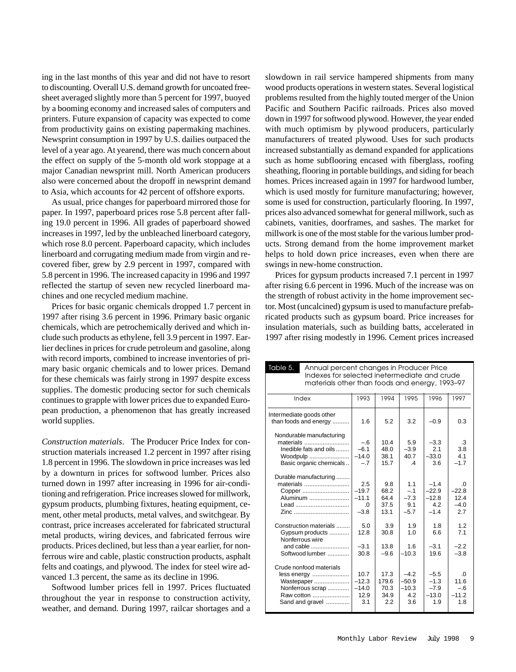ing in the last months of this year and did not have to resort to discounting. Overall U.S. demand growth for uncoated freesheet averaged slightly more than 5 percent for 1997, buoyed by a booming economy and increased sales of computers and printers. Future expansion of capacity was expected to come from productivity gains on existing papermaking machines. Newsprint consumption in 1997 by U.S. dailies outpaced the level of a year ago. At yearend, there was much concern about the effect on supply of the 5-month old work stoppage at a major Canadian newsprint mill. North American producers also were concerned about the dropoff in newsprint demand to Asia, which accounts for 42 percent of offshore exports.

As usual, price changes for paperboard mirrored those for paper. In 1997, paperboard prices rose 5.8 percent after falling 19.0 percent in 1996. All grades of paperboard showed increases in 1997, led by the unbleached linerboard category, which rose 8.0 percent. Paperboard capacity, which includes linerboard and corrugating medium made from virgin and recovered fiber, grew by 2.9 percent in 1997, compared with 5.8 percent in 1996. The increased capacity in 1996 and 1997 reflected the startup of seven new recycled linerboard machines and one recycled medium machine.

Prices for basic organic chemicals dropped 1.7 percent in 1997 after rising 3.6 percent in 1996. Primary basic organic chemicals, which are petrochemically derived and which include such products as ethylene, fell 3.9 percent in 1997. Earlier declines in prices for crude petroleum and gasoline, along with record imports, combined to increase inventories of primary basic organic chemicals and to lower prices. Demand for these chemicals was fairly strong in 1997 despite excess supplies. The domestic producing sector for such chemicals continues to grapple with lower prices due to expanded European production, a phenomenon that has greatly increased world supplies.

*Construction materials*. The Producer Price Index for construction materials increased 1.2 percent in 1997 after rising 1.8 percent in 1996. The slowdown in price increases was led by a downturn in prices for softwood lumber. Prices also turned down in 1997 after increasing in 1996 for air-conditioning and refrigeration. Price increases slowed for millwork, gypsum products, plumbing fixtures, heating equipment, cement, other metal products, metal valves, and switchgear. By contrast, price increases accelerated for fabricated structural metal products, wiring devices, and fabricated ferrous wire products. Prices declined, but less than a year earlier, for nonferrous wire and cable, plastic construction products, asphalt felts and coatings, and plywood. The index for steel wire advanced 1.3 percent, the same as its decline in 1996.

Softwood lumber prices fell in 1997. Prices fluctuated throughout the year in response to construction activity, weather, and demand. During 1997, railcar shortages and a slowdown in rail service hampered shipments from many wood products operations in western states. Several logistical problems resulted from the highly touted merger of the Union Pacific and Southern Pacific railroads. Prices also moved down in 1997 for softwood plywood. However, the year ended with much optimism by plywood producers, particularly manufacturers of treated plywood. Uses for such products increased substantially as demand expanded for applications such as home subflooring encased with fiberglass, roofing sheathing, flooring in portable buildings, and siding for beach homes. Prices increased again in 1997 for hardwood lumber, which is used mostly for furniture manufacturing; however, some is used for construction, particularly flooring. In 1997, prices also advanced somewhat for general millwork, such as cabinets, vanities, doorframes, and sashes. The market for millwork is one of the most stable for the various lumber products. Strong demand from the home improvement market helps to hold down price increases, even when there are swings in new-home construction.

Prices for gypsum products increased 7.1 percent in 1997 after rising 6.6 percent in 1996. Much of the increase was on the strength of robust activity in the home improvement sector. Most (uncalcined) gypsum is used to manufacture prefabricated products such as gypsum board. Price increases for insulation materials, such as building batts, accelerated in 1997 after rising modestly in 1996. Cement prices increased

| Table 5.<br>Annual percent changes in Producer Price<br>Indexes for selected inetermediate and crude<br>materials other than foods and energy, 1993-97 |                                                 |                                      |                                            |                                               |                                              |  |
|--------------------------------------------------------------------------------------------------------------------------------------------------------|-------------------------------------------------|--------------------------------------|--------------------------------------------|-----------------------------------------------|----------------------------------------------|--|
| Index                                                                                                                                                  | 1993                                            | 1994                                 | 1995                                       | 1996                                          | 1997                                         |  |
| Intermediate goods other<br>than foods and energy                                                                                                      | 1.6                                             | 5.2                                  | 3.2                                        | $-0.9$                                        | 0.3                                          |  |
| Nondurable manufacturing<br>materials<br>Inedible fats and oils<br>Woodpulp<br>Basic organic chemicals                                                 | $-.6$<br>$-6.1$<br>$-14.0$<br>$-.7$             | 10.4<br>48.0<br>38.1<br>15.7         | 5.9<br>$-3.9$<br>40.7<br>$\mathcal{A}$     | $-3.3$<br>2.1<br>$-33.0$<br>3.6               | .3<br>3.8<br>4.1<br>$-1.7$                   |  |
| Durable manufacturing<br>materials<br>Copper<br>Aluminum<br>Lead<br>Zinc                                                                               | 2.5<br>$-19.7$<br>$-11.1$<br>$\Omega$<br>$-3.8$ | 9.8<br>68.2<br>64.4<br>37.5<br>13.1  | 1.1<br>$-.1$<br>$-7.3$<br>9.1<br>$-5.7$    | $-1.4$<br>$-22.9$<br>$-12.8$<br>4.2<br>$-1.4$ | $\Omega$<br>$-22.8$<br>12.4<br>$-4.0$<br>2.7 |  |
| Construction materials<br>Gypsum products<br>Nonferrous wire<br>and cable<br>Softwood lumber                                                           | 5.0<br>12.8<br>$-3.1$<br>30.8                   | 3.9<br>30.8<br>13.8<br>$-9.6$        | 1.9<br>1 <sub>0</sub><br>1.6<br>$-10.3$    | 1.8<br>6.6<br>$-3.1$<br>19.6                  | 1.2<br>71<br>$-2.2$<br>$-3.8$                |  |
| Crude nonfood materials<br>less energy<br>Wastepaper<br>Nonferrous scrap<br>Raw cotton<br>Sand and gravel                                              | 10.7<br>$-12.3$<br>$-14.0$<br>12.9<br>3.1       | 17.3<br>179.6<br>70.3<br>34.9<br>2.2 | $-4.2$<br>$-50.9$<br>$-10.3$<br>4.2<br>3.6 | $-5.5$<br>$-1.3$<br>$-7.9$<br>$-13.0$<br>1.9  | $\Omega$<br>11.6<br>$-.6$<br>$-11.2$<br>1.8  |  |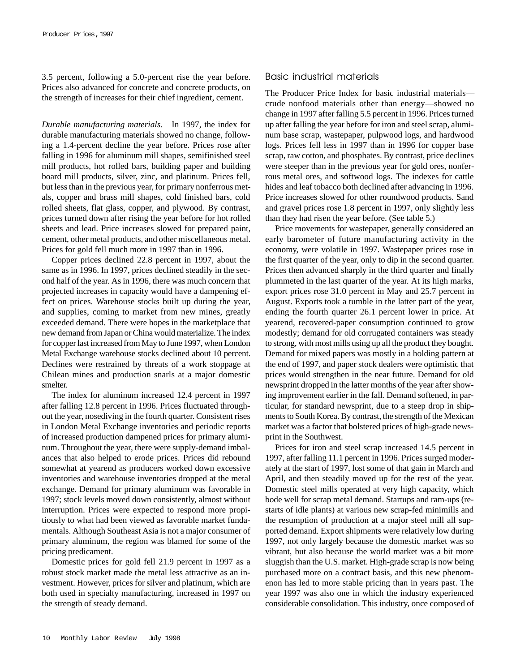3.5 percent, following a 5.0-percent rise the year before. Prices also advanced for concrete and concrete products, on the strength of increases for their chief ingredient, cement.

*Durable manufacturing materials*. In 1997, the index for durable manufacturing materials showed no change, following a 1.4-percent decline the year before. Prices rose after falling in 1996 for aluminum mill shapes, semifinished steel mill products, hot rolled bars, building paper and building board mill products, silver, zinc, and platinum. Prices fell, but less than in the previous year, for primary nonferrous metals, copper and brass mill shapes, cold finished bars, cold rolled sheets, flat glass, copper, and plywood. By contrast, prices turned down after rising the year before for hot rolled sheets and lead. Price increases slowed for prepared paint, cement, other metal products, and other miscellaneous metal. Prices for gold fell much more in 1997 than in 1996.

Copper prices declined 22.8 percent in 1997, about the same as in 1996. In 1997, prices declined steadily in the second half of the year. As in 1996, there was much concern that projected increases in capacity would have a dampening effect on prices. Warehouse stocks built up during the year, and supplies, coming to market from new mines, greatly exceeded demand. There were hopes in the marketplace that new demand from Japan or China would materialize. The index for copper last increased from May to June 1997, when London Metal Exchange warehouse stocks declined about 10 percent. Declines were restrained by threats of a work stoppage at Chilean mines and production snarls at a major domestic smelter.

The index for aluminum increased 12.4 percent in 1997 after falling 12.8 percent in 1996. Prices fluctuated throughout the year, nosediving in the fourth quarter. Consistent rises in London Metal Exchange inventories and periodic reports of increased production dampened prices for primary aluminum. Throughout the year, there were supply-demand imbalances that also helped to erode prices. Prices did rebound somewhat at yearend as producers worked down excessive inventories and warehouse inventories dropped at the metal exchange. Demand for primary aluminum was favorable in 1997; stock levels moved down consistently, almost without interruption. Prices were expected to respond more propitiously to what had been viewed as favorable market fundamentals. Although Southeast Asia is not a major consumer of primary aluminum, the region was blamed for some of the pricing predicament.

Domestic prices for gold fell 21.9 percent in 1997 as a robust stock market made the metal less attractive as an investment. However, prices for silver and platinum, which are both used in specialty manufacturing, increased in 1997 on the strength of steady demand.

## Basic industrial materials

The Producer Price Index for basic industrial materials crude nonfood materials other than energy—showed no change in 1997 after falling 5.5 percent in 1996. Prices turned up after falling the year before for iron and steel scrap, aluminum base scrap, wastepaper, pulpwood logs, and hardwood logs. Prices fell less in 1997 than in 1996 for copper base scrap, raw cotton, and phosphates. By contrast, price declines were steeper than in the previous year for gold ores, nonferrous metal ores, and softwood logs. The indexes for cattle hides and leaf tobacco both declined after advancing in 1996. Price increases slowed for other roundwood products. Sand and gravel prices rose 1.8 percent in 1997, only slightly less than they had risen the year before. (See table 5.)

Price movements for wastepaper, generally considered an early barometer of future manufacturing activity in the economy, were volatile in 1997. Wastepaper prices rose in the first quarter of the year, only to dip in the second quarter. Prices then advanced sharply in the third quarter and finally plummeted in the last quarter of the year. At its high marks, export prices rose 31.0 percent in May and 25.7 percent in August. Exports took a tumble in the latter part of the year, ending the fourth quarter 26.1 percent lower in price. At yearend, recovered-paper consumption continued to grow modestly; demand for old corrugated containers was steady to strong, with most mills using up all the product they bought. Demand for mixed papers was mostly in a holding pattern at the end of 1997, and paper stock dealers were optimistic that prices would strengthen in the near future. Demand for old newsprint dropped in the latter months of the year after showing improvement earlier in the fall. Demand softened, in particular, for standard newsprint, due to a steep drop in shipments to South Korea. By contrast, the strength of the Mexican market was a factor that bolstered prices of high-grade newsprint in the Southwest.

Prices for iron and steel scrap increased 14.5 percent in 1997, after falling 11.1 percent in 1996. Prices surged moderately at the start of 1997, lost some of that gain in March and April, and then steadily moved up for the rest of the year. Domestic steel mills operated at very high capacity, which bode well for scrap metal demand. Startups and ram-ups (restarts of idle plants) at various new scrap-fed minimills and the resumption of production at a major steel mill all supported demand. Export shipments were relatively low during 1997, not only largely because the domestic market was so vibrant, but also because the world market was a bit more sluggish than the U.S. market. High-grade scrap is now being purchased more on a contract basis, and this new phenomenon has led to more stable pricing than in years past. The year 1997 was also one in which the industry experienced considerable consolidation. This industry, once composed of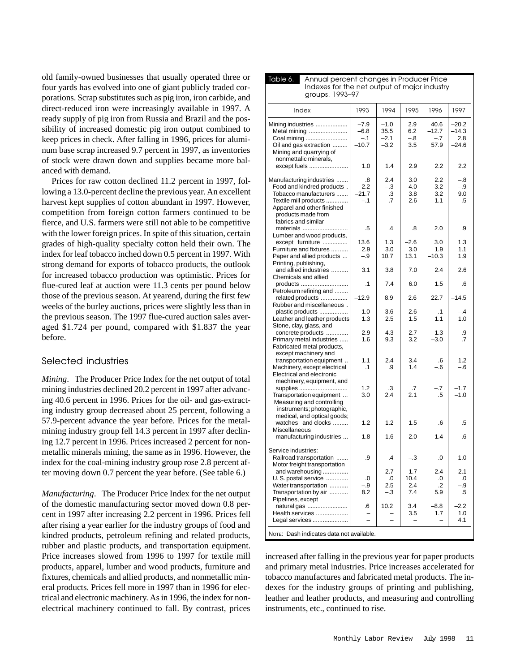old family-owned businesses that usually operated three or four yards has evolved into one of giant publicly traded corporations. Scrap substitutes such as pig iron, iron carbide, and direct-reduced iron were increasingly available in 1997. A ready supply of pig iron from Russia and Brazil and the possibility of increased domestic pig iron output combined to keep prices in check. After falling in 1996, prices for aluminum base scrap increased 9.7 percent in 1997, as inventories of stock were drawn down and supplies became more balanced with demand.

Prices for raw cotton declined 11.2 percent in 1997, following a 13.0-percent decline the previous year. An excellent harvest kept supplies of cotton abundant in 1997. However, competition from foreign cotton farmers continued to be fierce, and U.S. farmers were still not able to be competitive with the lower foreign prices. In spite of this situation, certain grades of high-quality specialty cotton held their own. The index for leaf tobacco inched down 0.5 percent in 1997. With strong demand for exports of tobacco products, the outlook for increased tobacco production was optimistic. Prices for flue-cured leaf at auction were 11.3 cents per pound below those of the previous season. At yearend, during the first few weeks of the burley auctions, prices were slightly less than in the previous season. The 1997 flue-cured auction sales averaged \$1.724 per pound, compared with \$1.837 the year before.

### Selected industries

*Mining*. The Producer Price Index for the net output of total mining industries declined 20.2 percent in 1997 after advancing 40.6 percent in 1996. Prices for the oil- and gas-extracting industry group decreased about 25 percent, following a 57.9-percent advance the year before. Prices for the metalmining industry group fell 14.3 percent in 1997 after declining 12.7 percent in 1996. Prices increased 2 percent for nonmetallic minerals mining, the same as in 1996. However, the index for the coal-mining industry group rose 2.8 percent after moving down 0.7 percent the year before. (See table 6.)

*Manufacturing*. The Producer Price Index for the net output of the domestic manufacturing sector moved down 0.8 percent in 1997 after increasing 2.2 percent in 1996. Prices fell after rising a year earlier for the industry groups of food and kindred products, petroleum refining and related products, rubber and plastic products, and transportation equipment. Price increases slowed from 1996 to 1997 for textile mill products, apparel, lumber and wood products, furniture and fixtures, chemicals and allied products, and nonmetallic mineral products. Prices fell more in 1997 than in 1996 for electrical and electronic machinery. As in 1996, the index for nonelectrical machinery continued to fall. By contrast, prices

| Annual percent changes in Producer Price<br>Table 6.<br>Indexes for the net output of major industry<br>aroups, 1993-97                                                             |                                      |                                    |                            |                                  |                                    |  |
|-------------------------------------------------------------------------------------------------------------------------------------------------------------------------------------|--------------------------------------|------------------------------------|----------------------------|----------------------------------|------------------------------------|--|
| Index                                                                                                                                                                               | 1993                                 | 1994                               | 1995                       | 1996                             | 1997                               |  |
| Mining industries<br>Metal mining<br>Coal mining<br>Oil and gas extraction<br>Mining and quarrying of<br>nonmettalic minerals,                                                      | $-7.9$<br>$-6.8$<br>$-.1$<br>$-10.7$ | $-1.0$<br>35.5<br>$-2.1$<br>$-3.2$ | 2.9<br>6.2<br>$-.8$<br>3.5 | 40.6<br>$-12.7$<br>$-.7$<br>57.9 | –20.2<br>$-14.3$<br>2.8<br>$-24.6$ |  |
| except fuels                                                                                                                                                                        | 1.0                                  | 1.4                                | 2.9                        | 2.2                              | 2.2                                |  |
| Manufacturing industries<br>Food and kindred products.<br>Tobacco manufacturers<br>Textile mill products<br>Apparel and other finished<br>products made from<br>fabrics and similar | .8<br>2.2<br>$-21.7$<br>$-.1$        | 2.4<br>$-.3$<br>.3<br>.7           | 3.0<br>4.0<br>3.8<br>2.6   | 2.2<br>3.2<br>3.2<br>1.1         | $-8$<br>-.9<br>9.0<br>.5           |  |
| materials<br>Lumber and wood products,                                                                                                                                              | .5                                   | .4                                 | .8                         | 2.0                              | .9                                 |  |
| except furniture<br>Furniture and fixtures<br>Paper and allied products<br>Printing, publishing,                                                                                    | 13.6<br>2.9<br>$-.9$                 | 1.3<br>3.0<br>10.7                 | $-2.6$<br>3.0<br>13.1      | 3.0<br>1.9<br>$-10.3$            | 1.3<br>1.1<br>1.9                  |  |
| and allied industries<br>Chemicals and allied                                                                                                                                       | 3.1                                  | 3.8                                | 7.0                        | 2.4                              | 2.6                                |  |
| products<br>Petroleum refining and                                                                                                                                                  | $\cdot$ 1                            | 7.4                                | 6.0                        | 1.5                              | .6                                 |  |
| related products<br>Rubber and miscellaneous.                                                                                                                                       | $-12.9$                              | 8.9                                | 2.6                        | 22.7                             | $-14.5$                            |  |
| plastic products<br>Leather and leather products<br>Stone, clay, glass, and                                                                                                         | 1.0<br>1.3                           | 3.6<br>2.5                         | 2.6<br>1.5                 | $\cdot$ 1<br>1.1                 | $-.4$<br>1.0                       |  |
| concrete products<br>Primary metal industries<br>Fabricated metal products,<br>except machinery and                                                                                 | 2.9<br>1.6                           | 4.3<br>9.3                         | 2.7<br>3.2                 | 1.3<br>$-3.0$                    | .9<br>.7                           |  |
| transportation equipment<br>Machinery, except electrical<br>Electrical and electronic                                                                                               | 1.1<br>$\cdot$ 1                     | 2.4<br>.9                          | 3.4<br>1.4                 | .6<br>-.6                        | 1.2<br>$-.6$                       |  |
| machinery, equipment, and<br>supplies<br>Transportation equipment<br>Measuring and controlling<br>instruments; photographic,<br>medical, and optical goods;                         | 1.2<br>3.0                           | .3<br>2.4                          | .7<br>2.1                  | $-.7$<br>.5                      | $-1.7$<br>$-1.0$                   |  |
| watches and clocks<br><b>Miscellaneous</b>                                                                                                                                          | 1.2                                  | 1.2                                | 1.5                        | .6                               | .5                                 |  |
| manufacturing industries                                                                                                                                                            | 1.8                                  | 1.6                                | 2.0                        | 1.4                              | .6                                 |  |
| Service industries:<br>Railroad transportation<br>Motor freight transportation                                                                                                      | .9                                   | .4                                 | - 3                        | .0                               | 1.0                                |  |
| and warehousing<br>U.S. postal service<br>Water transportation<br>Transportation by air                                                                                             | .0<br>$-.9$<br>8.2                   | 2.7<br>.0<br>2.5<br>$-.3$          | 1.7<br>10.4<br>2.4<br>7.4  | 2.4<br>.0<br>.2<br>5.9           | 2.1<br>.0<br>-.9<br>.5             |  |
| Pipelines, except<br>natural gas<br>Health services<br>Legal services                                                                                                               | .6                                   | 10.2                               | 3.4<br>3.5                 | $-8.8$<br>1.7                    | $-2.2$<br>1.0<br>4.1               |  |
| NOTE: Dash indicates data not available.                                                                                                                                            |                                      |                                    |                            |                                  |                                    |  |

increased after falling in the previous year for paper products and primary metal industries. Price increases accelerated for tobacco manufactures and fabricated metal products. The indexes for the industry groups of printing and publishing, leather and leather products, and measuring and controlling instruments, etc., continued to rise.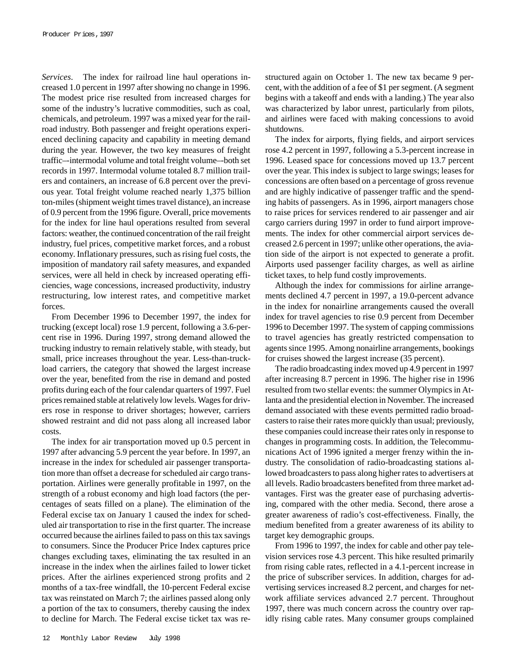*Services*. The index for railroad line haul operations increased 1.0 percent in 1997 after showing no change in 1996. The modest price rise resulted from increased charges for some of the industry's lucrative commodities, such as coal, chemicals, and petroleum. 1997 was a mixed year for the railroad industry. Both passenger and freight operations experienced declining capacity and capability in meeting demand during the year. However, the two key measures of freight traffic–-intermodal volume and total freight volume–-both set records in 1997. Intermodal volume totaled 8.7 million trailers and containers, an increase of 6.8 percent over the previous year. Total freight volume reached nearly 1,375 billion ton-miles (shipment weight times travel distance), an increase of 0.9 percent from the 1996 figure. Overall, price movements for the index for line haul operations resulted from several factors: weather, the continued concentration of the rail freight industry, fuel prices, competitive market forces, and a robust economy. Inflationary pressures, such as rising fuel costs, the imposition of mandatory rail safety measures, and expanded services, were all held in check by increased operating efficiencies, wage concessions, increased productivity, industry restructuring, low interest rates, and competitive market forces.

From December 1996 to December 1997, the index for trucking (except local) rose 1.9 percent, following a 3.6-percent rise in 1996. During 1997, strong demand allowed the trucking industry to remain relatively stable, with steady, but small, price increases throughout the year. Less-than-truckload carriers, the category that showed the largest increase over the year, benefited from the rise in demand and posted profits during each of the four calendar quarters of 1997. Fuel prices remained stable at relatively low levels. Wages for drivers rose in response to driver shortages; however, carriers showed restraint and did not pass along all increased labor costs.

The index for air transportation moved up 0.5 percent in 1997 after advancing 5.9 percent the year before. In 1997, an increase in the index for scheduled air passenger transportation more than offset a decrease for scheduled air cargo transportation. Airlines were generally profitable in 1997, on the strength of a robust economy and high load factors (the percentages of seats filled on a plane). The elimination of the Federal excise tax on January 1 caused the index for scheduled air transportation to rise in the first quarter. The increase occurred because the airlines failed to pass on this tax savings to consumers. Since the Producer Price Index captures price changes excluding taxes, eliminating the tax resulted in an increase in the index when the airlines failed to lower ticket prices. After the airlines experienced strong profits and 2 months of a tax-free windfall, the 10-percent Federal excise tax was reinstated on March 7; the airlines passed along only a portion of the tax to consumers, thereby causing the index to decline for March. The Federal excise ticket tax was restructured again on October 1. The new tax became 9 percent, with the addition of a fee of \$1 per segment. (A segment begins with a takeoff and ends with a landing.) The year also was characterized by labor unrest, particularly from pilots, and airlines were faced with making concessions to avoid shutdowns.

The index for airports, flying fields, and airport services rose 4.2 percent in 1997, following a 5.3-percent increase in 1996. Leased space for concessions moved up 13.7 percent over the year. This index is subject to large swings; leases for concessions are often based on a percentage of gross revenue and are highly indicative of passenger traffic and the spending habits of passengers. As in 1996, airport managers chose to raise prices for services rendered to air passenger and air cargo carriers during 1997 in order to fund airport improvements. The index for other commercial airport services decreased 2.6 percent in 1997; unlike other operations, the aviation side of the airport is not expected to generate a profit. Airports used passenger facility charges, as well as airline ticket taxes, to help fund costly improvements.

Although the index for commissions for airline arrangements declined 4.7 percent in 1997, a 19.0-percent advance in the index for nonairline arrangements caused the overall index for travel agencies to rise 0.9 percent from December 1996 to December 1997. The system of capping commissions to travel agencies has greatly restricted compensation to agents since 1995. Among nonairline arrangements, bookings for cruises showed the largest increase (35 percent).

The radio broadcasting index moved up 4.9 percent in 1997 after increasing 8.7 percent in 1996. The higher rise in 1996 resulted from two stellar events: the summer Olympics in Atlanta and the presidential election in November. The increased demand associated with these events permitted radio broadcasters to raise their rates more quickly than usual; previously, these companies could increase their rates only in response to changes in programming costs. In addition, the Telecommunications Act of 1996 ignited a merger frenzy within the industry. The consolidation of radio-broadcasting stations allowed broadcasters to pass along higher rates to advertisers at all levels. Radio broadcasters benefited from three market advantages. First was the greater ease of purchasing advertising, compared with the other media. Second, there arose a greater awareness of radio's cost-effectiveness. Finally, the medium benefited from a greater awareness of its ability to target key demographic groups.

From 1996 to 1997, the index for cable and other pay television services rose 4.3 percent. This hike resulted primarily from rising cable rates, reflected in a 4.1-percent increase in the price of subscriber services. In addition, charges for advertising services increased 8.2 percent, and charges for network affiliate services advanced 2.7 percent. Throughout 1997, there was much concern across the country over rapidly rising cable rates. Many consumer groups complained